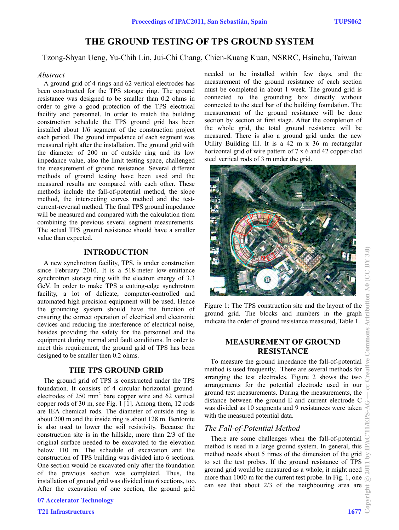# **THE GROUND TESTING OF TPS GROUND SYSTEM**

Tzong-Shyan Ueng, Yu-Chih Lin, Jui-Chi Chang, Chien-Kuang Kuan, NSRRC, Hsinchu, Taiwan

### *Abstract*

A ground grid of 4 rings and 62 vertical electrodes has been constructed for the TPS storage ring. The ground resistance was designed to be smaller than 0.2 ohms in order to give a good protection of the TPS electrical facility and personnel. In order to match the building construction schedule the TPS ground grid has been installed about 1/6 segment of the construction project each period. The ground impedance of each segment was measured right after the installation. The ground grid with the diameter of 200 m of outside ring and its low impedance value, also the limit testing space, challenged the measurement of ground resistance. Several different methods of ground testing have been used and the measured results are compared with each other. These methods include the fall-of-potential method, the slope method, the intersecting curves method and the testcurrent-reversal method. The final TPS ground impedance will be measured and compared with the calculation from combining the previous several segment measurements. The actual TPS ground resistance should have a smaller value than expected.

# **INTRODUCTION**

A new synchrotron facility, TPS, is under construction since February 2010. It is a 518-meter low-emittance synchrotron storage ring with the electron energy of 3.3 GeV. In order to make TPS a cutting-edge synchrotron facility, a lot of delicate, computer-controlled and automated high precision equipment will be used. Hence the grounding system should have the function of ensuring the correct operation of electrical and electronic devices and reducing the interference of electrical noise, besides providing the safety for the personnel and the equipment during normal and fault conditions. In order to meet this requirement, the ground grid of TPS has been designed to be smaller then 0.2 ohms.

### **THE TPS GROUND GRID**

The ground grid of TPS is constructed under the TPS foundation. It consists of 4 circular horizontal groundelectrodes of 250 mm<sup>2</sup> bare copper wire and 62 vertical copper rods of 30 m, see Fig. 1 [1]. Among them, 12 rods are IEA chemical rods. The diameter of outside ring is about 200 m and the inside ring is about 128 m. Bentonite is also used to lower the soil resistivity. Because the construction site is in the hillside, more than 2/3 of the original surface needed to be excavated to the elevation below 110 m. The schedule of excavation and the construction of TPS building was divided into 6 sections. One section would be excavated only after the foundation of the previous section was completed. Thus, the installation of ground grid was divided into 6 sections, too. After the excavation of one section, the ground grid

07 Accelerator Technology

T21 Infrastructures 1677

needed to be installed within few days, and the measurement of the ground resistance of each section must be completed in about 1 week. The ground grid is connected to the grounding box directly without connected to the steel bar of the building foundation. The measurement of the ground resistance will be done section by section at first stage. After the completion of the whole grid, the total ground resistance will be measured. There is also a ground grid under the new Utility Building III. It is a 42 m x 36 m rectangular horizontal grid of wire pattern of 7 x 6 and 42 copper-clad steel vertical rods of 3 m under the grid.



Figure 1: The TPS construction site and the layout of the ground grid. The blocks and numbers in the graph indicate the order of ground resistance measured, Table 1.

# **MEASUREMENT OF GROUND RESISTANCE**

To measure the ground impedance the fall-of-potential method is used frequently. There are several methods for arranging the test electrodes. Figure 2 shows the two arrangements for the potential electrode used in our ground test measurements. During the measurements, the distance between the ground E and current electrode C was divided as 10 segments and 9 resistances were taken with the measured potential data.

### *The Fall-of-Potential Method*

There are some challenges when the fall-of-potential method is used in a large ground system. In general, this method needs about 5 times of the dimension of the grid to set the test probes. If the ground resistance of TPS ground grid would be measured as a whole, it might need more than 1000 m for the current test probe. In Fig. 1, one can see that about 2/3 of the neighbouring area are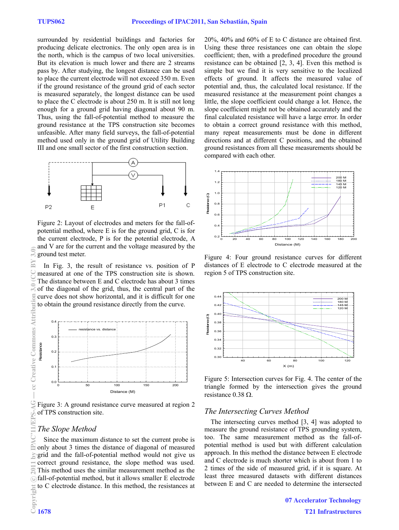surrounded by residential buildings and factories for producing delicate electronics. The only open area is in the north, which is the campus of two local universities. But its elevation is much lower and there are 2 streams pass by. After studying, the longest distance can be used to place the current electrode will not exceed 350 m. Even if the ground resistance of the ground grid of each sector is measured separately, the longest distance can be used to place the C electrode is about 250 m. It is still not long enough for a ground grid having diagonal about 90 m. Thus, using the fall-of-potential method to measure the ground resistance at the TPS construction site becomes unfeasible. After many field surveys, the fall-of-potential method used only in the ground grid of Utility Building III and one small sector of the first construction section.



Figure 2: Layout of electrodes and meters for the fall-ofpotential method, where E is for the ground grid, C is for the current electrode, P is for the potential electrode, A and V are for the current and the voltage measured by the ground test meter.

In Fig. 3, the result of resistance vs. position of P measured at one of the TPS construction site is shown. The distance between E and C electrode has about 3 times of the diagonal of the grid, thus, the central part of the curve does not show horizontal, and it is difficult for one to obtain the ground resistance directly from the curve.



Figure 3: A ground resistance curve measured at region 2 of TPS construction site.

# *The Slope Method*

Since the maximum distance to set the current probe is only about 3 times the distance of diagonal of measured grid and the fall-of-potential method would not give us correct ground resistance, the slope method was used. This method uses the similar measurement method as the fall-of-potential method, but it allows smaller E electrode to C electrode distance. In this method, the resistances at 20%, 40% and 60% of E to C distance are obtained first. Using these three resistances one can obtain the slope coefficient; then, with a predefined procedure the ground resistance can be obtained [2, 3, 4]. Even this method is simple but we find it is very sensitive to the localized effects of ground. It affects the measured value of potential and, thus, the calculated local resistance. If the measured resistance at the measurement point changes a little, the slope coefficient could change a lot. Hence, the slope coefficient might not be obtained accurately and the final calculated resistance will have a large error. In order to obtain a correct ground resistance with this method, many repeat measurements must be done in different directions and at different C positions, and the obtained ground resistances from all these measurements should be compared with each other.



Figure 4: Four ground resistance curves for different distances of E electrode to C electrode measured at the region 5 of TPS construction site.



Figure 5: Intersection curves for Fig. 4. The center of the triangle formed by the intersection gives the ground resistance  $0.38 \Omega$ .

### *The Intersecting Curves Method*

The intersecting curves method [3, 4] was adopted to measure the ground resistance of TPS grounding system, too. The same measurement method as the fall-ofpotential method is used but with different calculation approach. In this method the distance between E electrode and C electrode is much shorter which is about from 1 to 2 times of the side of measured grid, if it is square. At least three measured datasets with different distances between E and C are needed to determine the intersected

> 07 Accelerator Technology T21 Infrastructures